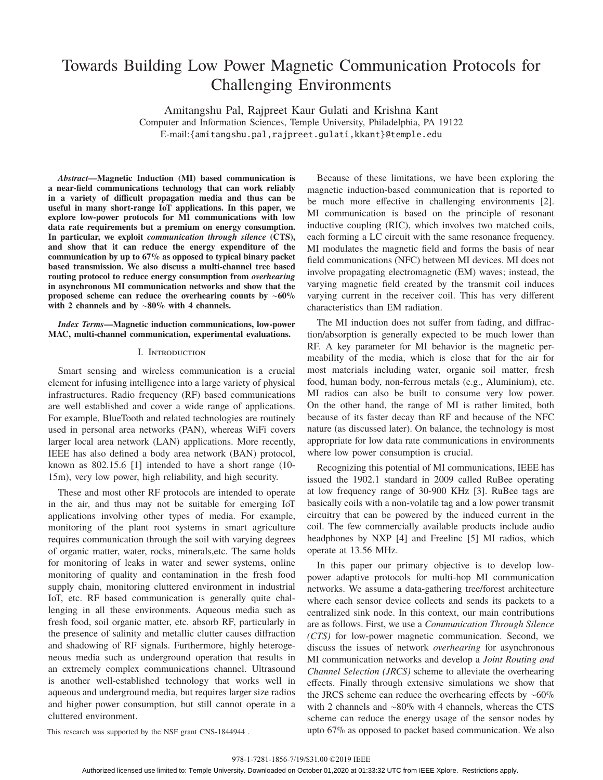# Towards Building Low Power Magnetic Communication Protocols for Challenging Environments

Amitangshu Pal, Rajpreet Kaur Gulati and Krishna Kant

Computer and Information Sciences, Temple University, Philadelphia, PA 19122

E-mail:{amitangshu.pal,rajpreet.gulati,kkant}@temple.edu

*Abstract***—Magnetic Induction (MI) based communication is a near-field communications technology that can work reliably in a variety of difficult propagation media and thus can be useful in many short-range IoT applications. In this paper, we explore low-power protocols for MI communications with low data rate requirements but a premium on energy consumption. In particular, we exploit** *communication through silence* **(CTS), and show that it can reduce the energy expenditure of the communication by up to 67% as opposed to typical binary packet based transmission. We also discuss a multi-channel tree based routing protocol to reduce energy consumption from** *overhearing* **in asynchronous MI communication networks and show that the proposed scheme can reduce the overhearing counts by** ∼**60% with 2 channels and by** ∼**80% with 4 channels.**

*Index Terms***—Magnetic induction communications, low-power MAC, multi-channel communication, experimental evaluations.**

## I. Introduction

Smart sensing and wireless communication is a crucial element for infusing intelligence into a large variety of physical infrastructures. Radio frequency (RF) based communications are well established and cover a wide range of applications. For example, BlueTooth and related technologies are routinely used in personal area networks (PAN), whereas WiFi covers larger local area network (LAN) applications. More recently, IEEE has also defined a body area network (BAN) protocol, known as 802.15.6 [1] intended to have a short range (10- 15m), very low power, high reliability, and high security.

These and most other RF protocols are intended to operate in the air, and thus may not be suitable for emerging IoT applications involving other types of media. For example, monitoring of the plant root systems in smart agriculture requires communication through the soil with varying degrees of organic matter, water, rocks, minerals,etc. The same holds for monitoring of leaks in water and sewer systems, online monitoring of quality and contamination in the fresh food supply chain, monitoring cluttered environment in industrial IoT, etc. RF based communication is generally quite challenging in all these environments. Aqueous media such as fresh food, soil organic matter, etc. absorb RF, particularly in the presence of salinity and metallic clutter causes diffraction and shadowing of RF signals. Furthermore, highly heterogeneous media such as underground operation that results in an extremely complex communications channel. Ultrasound is another well-established technology that works well in aqueous and underground media, but requires larger size radios and higher power consumption, but still cannot operate in a cluttered environment.

Because of these limitations, we have been exploring the magnetic induction-based communication that is reported to be much more effective in challenging environments [2]. MI communication is based on the principle of resonant inductive coupling (RIC), which involves two matched coils, each forming a LC circuit with the same resonance frequency. MI modulates the magnetic field and forms the basis of near field communications (NFC) between MI devices. MI does not involve propagating electromagnetic (EM) waves; instead, the varying magnetic field created by the transmit coil induces varying current in the receiver coil. This has very different characteristics than EM radiation.

The MI induction does not suffer from fading, and diffraction/absorption is generally expected to be much lower than RF. A key parameter for MI behavior is the magnetic permeability of the media, which is close that for the air for most materials including water, organic soil matter, fresh food, human body, non-ferrous metals (e.g., Aluminium), etc. MI radios can also be built to consume very low power. On the other hand, the range of MI is rather limited, both because of its faster decay than RF and because of the NFC nature (as discussed later). On balance, the technology is most appropriate for low data rate communications in environments where low power consumption is crucial.

Recognizing this potential of MI communications, IEEE has issued the 1902.1 standard in 2009 called RuBee operating at low frequency range of 30-900 KHz [3]. RuBee tags are basically coils with a non-volatile tag and a low power transmit circuitry that can be powered by the induced current in the coil. The few commercially available products include audio headphones by NXP [4] and Freelinc [5] MI radios, which operate at 13.56 MHz.

In this paper our primary objective is to develop lowpower adaptive protocols for multi-hop MI communication networks. We assume a data-gathering tree/forest architecture where each sensor device collects and sends its packets to a centralized sink node. In this context, our main contributions are as follows. First, we use a *Communication Through Silence (CTS)* for low-power magnetic communication. Second, we discuss the issues of network *overhearing* for asynchronous MI communication networks and develop a *Joint Routing and Channel Selection (JRCS)* scheme to alleviate the overhearing effects. Finally through extensive simulations we show that the JRCS scheme can reduce the overhearing effects by ∼60% with 2 channels and ∼80% with 4 channels, whereas the CTS scheme can reduce the energy usage of the sensor nodes by This research was supported by the NSF grant CNS-1844944 . upto 67% as opposed to packet based communication. We also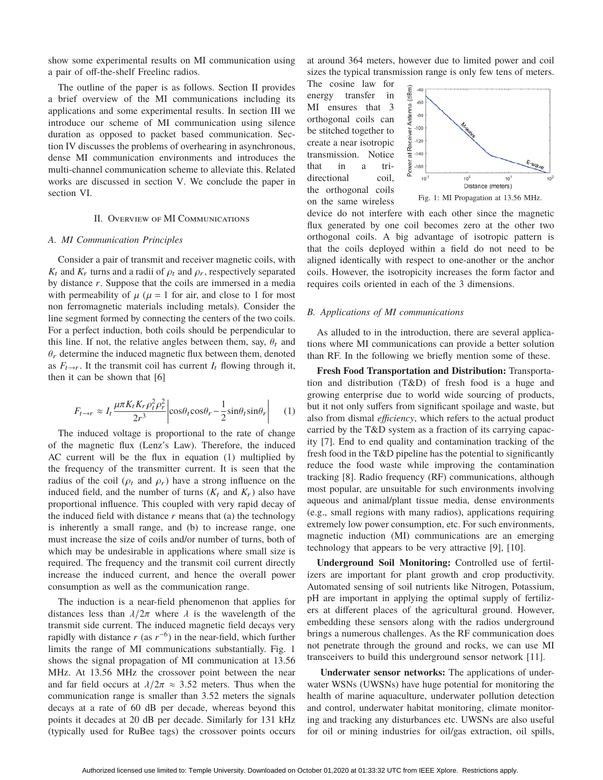show some experimental results on MI communication using a pair of off-the-shelf Freelinc radios.

The outline of the paper is as follows. Section II provides a brief overview of the MI communications including its applications and some experimental results. In section III we introduce our scheme of MI communication using silence duration as opposed to packet based communication. Section IV discusses the problems of overhearing in asynchronous, dense MI communication environments and introduces the multi-channel communication scheme to alleviate this. Related works are discussed in section V. We conclude the paper in section VI.

# II. Overview of MI Communications

## *A. MI Communication Principles*

Consider a pair of transmit and receiver magnetic coils, with  $K_t$  and  $K_r$  turns and a radii of  $\rho_t$  and  $\rho_r$ , respectively separated by distance *r*. Suppose that the coils are immersed in a media with permeability of  $\mu$  ( $\mu$  = 1 for air, and close to 1 for most non ferromagnetic materials including metals). Consider the line segment formed by connecting the centers of the two coils. For a perfect induction, both coils should be perpendicular to this line. If not, the relative angles between them, say,  $\theta_t$  and  $\theta_r$  determine the induced magnetic flux between them, denoted as  $F_{t\rightarrow r}$ . It the transmit coil has current  $I_t$  flowing through it, then it can be shown that [6]

$$
F_{t \to r} \approx I_t \frac{\mu \pi K_t K_r \rho_t^2 \rho_r^2}{2r^3} \bigg| \cos \theta_t \cos \theta_r - \frac{1}{2} \sin \theta_t \sin \theta_r \bigg| \qquad (1)
$$

The induced voltage is proportional to the rate of change of the magnetic flux (Lenz's Law). Therefore, the induced AC current will be the flux in equation (1) multiplied by the frequency of the transmitter current. It is seen that the radius of the coil ( $\rho_t$  and  $\rho_r$ ) have a strong influence on the induced field, and the number of turns  $(K_t$  and  $K_t$ ) also have proportional influence. This coupled with very rapid decay of the induced field with distance  $r$  means that (a) the technology is inherently a small range, and (b) to increase range, one must increase the size of coils and/or number of turns, both of which may be undesirable in applications where small size is required. The frequency and the transmit coil current directly increase the induced current, and hence the overall power consumption as well as the communication range.

The induction is a near-field phenomenon that applies for distances less than  $\lambda/2\pi$  where  $\lambda$  is the wavelength of the transmit side current. The induced magnetic field decays very rapidly with distance  $r$  (as  $r^{-6}$ ) in the near-field, which further limits the range of MI communications substantially. Fig. 1 shows the signal propagation of MI communication at 13.56 MHz. At 13.56 MHz the crossover point between the near and far field occurs at  $\lambda/2\pi \approx 3.52$  meters. Thus when the communication range is smaller than 3.52 meters the signals decays at a rate of 60 dB per decade, whereas beyond this points it decades at 20 dB per decade. Similarly for 131 kHz (typically used for RuBee tags) the crossover points occurs at around 364 meters, however due to limited power and coil sizes the typical transmission range is only few tens of meters.

The cosine law for energy transfer in MI ensures that 3 orthogonal coils can be stitched together to create a near isotropic transmission. Notice that in a tridirectional coil, the orthogonal coils on the same wireless



device do not interfere with each other since the magnetic flux generated by one coil becomes zero at the other two orthogonal coils. A big advantage of isotropic pattern is that the coils deployed within a field do not need to be aligned identically with respect to one-another or the anchor coils. However, the isotropicity increases the form factor and requires coils oriented in each of the 3 dimensions.

#### *B. Applications of MI communications*

As alluded to in the introduction, there are several applications where MI communications can provide a better solution than RF. In the following we briefly mention some of these.

**Fresh Food Transportation and Distribution:** Transportation and distribution (T&D) of fresh food is a huge and growing enterprise due to world wide sourcing of products, but it not only suffers from significant spoilage and waste, but also from dismal *efficiency*, which refers to the actual product carried by the T&D system as a fraction of its carrying capacity [7]. End to end quality and contamination tracking of the fresh food in the T&D pipeline has the potential to significantly reduce the food waste while improving the contamination tracking [8]. Radio frequency (RF) communications, although most popular, are unsuitable for such environments involving aqueous and animal/plant tissue media, dense environments (e.g., small regions with many radios), applications requiring extremely low power consumption, etc. For such environments, magnetic induction (MI) communications are an emerging technology that appears to be very attractive [9], [10].

**Underground Soil Monitoring:** Controlled use of fertilizers are important for plant growth and crop productivity. Automated sensing of soil nutrients like Nitrogen, Potassium, pH are important in applying the optimal supply of fertilizers at different places of the agricultural ground. However, embedding these sensors along with the radios underground brings a numerous challenges. As the RF communication does not penetrate through the ground and rocks, we can use MI transceivers to build this underground sensor network [11].

**Underwater sensor networks:** The applications of underwater WSNs (UWSNs) have huge potential for monitoring the health of marine aquaculture, underwater pollution detection and control, underwater habitat monitoring, climate monitoring and tracking any disturbances etc. UWSNs are also useful for oil or mining industries for oil/gas extraction, oil spills,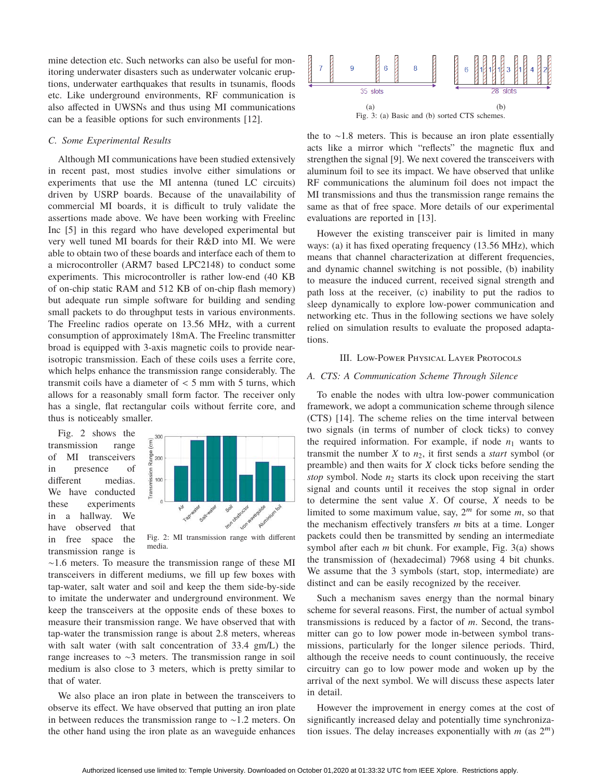mine detection etc. Such networks can also be useful for monitoring underwater disasters such as underwater volcanic eruptions, underwater earthquakes that results in tsunamis, floods etc. Like underground environments, RF communication is also affected in UWSNs and thus using MI communications can be a feasible options for such environments [12].

## *C. Some Experimental Results*

Although MI communications have been studied extensively in recent past, most studies involve either simulations or experiments that use the MI antenna (tuned LC circuits) driven by USRP boards. Because of the unavailability of commercial MI boards, it is difficult to truly validate the assertions made above. We have been working with Freelinc Inc [5] in this regard who have developed experimental but very well tuned MI boards for their R&D into MI. We were able to obtain two of these boards and interface each of them to a microcontroller (ARM7 based LPC2148) to conduct some experiments. This microcontroller is rather low-end (40 KB of on-chip static RAM and 512 KB of on-chip flash memory) but adequate run simple software for building and sending small packets to do throughput tests in various environments. The Freelinc radios operate on 13.56 MHz, with a current consumption of approximately 18mA. The Freelinc transmitter broad is equipped with 3-axis magnetic coils to provide nearisotropic transmission. Each of these coils uses a ferrite core, which helps enhance the transmission range considerably. The transmit coils have a diameter of  $<$  5 mm with 5 turns, which allows for a reasonably small form factor. The receiver only has a single, flat rectangular coils without ferrite core, and thus is noticeably smaller.

Fig. 2 shows the transmission range of MI transceivers in presence of different medias. We have conducted these experiments in a hallway. We have observed that in free space the transmission range is



Fig. 2: MI transmission range with different media.

∼1.6 meters. To measure the transmission range of these MI transceivers in different mediums, we fill up few boxes with tap-water, salt water and soil and keep the them side-by-side to imitate the underwater and underground environment. We keep the transceivers at the opposite ends of these boxes to measure their transmission range. We have observed that with tap-water the transmission range is about 2.8 meters, whereas with salt water (with salt concentration of 33.4 gm/L) the range increases to ∼3 meters. The transmission range in soil medium is also close to 3 meters, which is pretty similar to that of water.

We also place an iron plate in between the transceivers to observe its effect. We have observed that putting an iron plate in between reduces the transmission range to ∼1.2 meters. On the other hand using the iron plate as an waveguide enhances



the to ∼1.8 meters. This is because an iron plate essentially acts like a mirror which "reflects" the magnetic flux and strengthen the signal [9]. We next covered the transceivers with aluminum foil to see its impact. We have observed that unlike RF communications the aluminum foil does not impact the MI transmissions and thus the transmission range remains the same as that of free space. More details of our experimental evaluations are reported in [13].

However the existing transceiver pair is limited in many ways: (a) it has fixed operating frequency (13.56 MHz), which means that channel characterization at different frequencies, and dynamic channel switching is not possible, (b) inability to measure the induced current, received signal strength and path loss at the receiver, (c) inability to put the radios to sleep dynamically to explore low-power communication and networking etc. Thus in the following sections we have solely relied on simulation results to evaluate the proposed adaptations.

## III. Low-Power Physical Layer Protocols

## *A. CTS: A Communication Scheme Through Silence*

To enable the nodes with ultra low-power communication framework, we adopt a communication scheme through silence (CTS) [14]. The scheme relies on the time interval between two signals (in terms of number of clock ticks) to convey the required information. For example, if node  $n_1$  wants to transmit the number  $X$  to  $n_2$ , it first sends a *start* symbol (or preamble) and then waits for *X* clock ticks before sending the  $stop$  symbol. Node  $n_2$  starts its clock upon receiving the start signal and counts until it receives the stop signal in order to determine the sent value *X*. Of course, *X* needs to be limited to some maximum value, say,  $2^m$  for some  $m$ , so that the mechanism effectively transfers *m* bits at a time. Longer packets could then be transmitted by sending an intermediate symbol after each *m* bit chunk. For example, Fig. 3(a) shows the transmission of (hexadecimal) 7968 using 4 bit chunks. We assume that the 3 symbols (start, stop, intermediate) are distinct and can be easily recognized by the receiver.

Such a mechanism saves energy than the normal binary scheme for several reasons. First, the number of actual symbol transmissions is reduced by a factor of *m*. Second, the transmitter can go to low power mode in-between symbol transmissions, particularly for the longer silence periods. Third, although the receive needs to count continuously, the receive circuitry can go to low power mode and woken up by the arrival of the next symbol. We will discuss these aspects later in detail.

However the improvement in energy comes at the cost of significantly increased delay and potentially time synchronization issues. The delay increases exponentially with  $m$  (as  $2^m$ )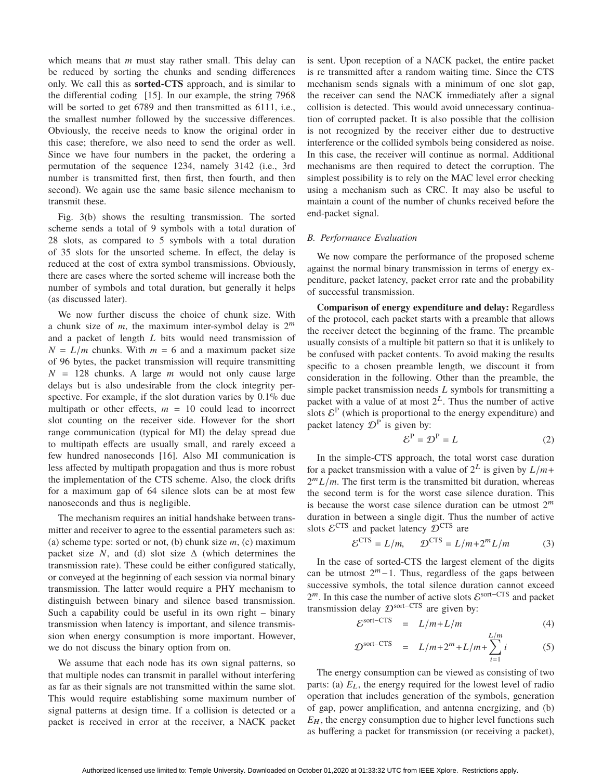which means that *m* must stay rather small. This delay can be reduced by sorting the chunks and sending differences only. We call this as **sorted-CTS** approach, and is similar to the differential coding [15]. In our example, the string 7968 will be sorted to get 6789 and then transmitted as 6111, i.e., the smallest number followed by the successive differences. Obviously, the receive needs to know the original order in this case; therefore, we also need to send the order as well. Since we have four numbers in the packet, the ordering a permutation of the sequence 1234, namely 3142 (i.e., 3rd number is transmitted first, then first, then fourth, and then second). We again use the same basic silence mechanism to transmit these.

Fig. 3(b) shows the resulting transmission. The sorted scheme sends a total of 9 symbols with a total duration of 28 slots, as compared to 5 symbols with a total duration of 35 slots for the unsorted scheme. In effect, the delay is reduced at the cost of extra symbol transmissions. Obviously, there are cases where the sorted scheme will increase both the number of symbols and total duration, but generally it helps (as discussed later).

We now further discuss the choice of chunk size. With a chunk size of  $m$ , the maximum inter-symbol delay is  $2^m$ and a packet of length *L* bits would need transmission of  $N = L/m$  chunks. With  $m = 6$  and a maximum packet size of 96 bytes, the packet transmission will require transmitting  $N = 128$  chunks. A large *m* would not only cause large delays but is also undesirable from the clock integrity perspective. For example, if the slot duration varies by 0.1% due multipath or other effects,  $m = 10$  could lead to incorrect slot counting on the receiver side. However for the short range communication (typical for MI) the delay spread due to multipath effects are usually small, and rarely exceed a few hundred nanoseconds [16]. Also MI communication is less affected by multipath propagation and thus is more robust the implementation of the CTS scheme. Also, the clock drifts for a maximum gap of 64 silence slots can be at most few nanoseconds and thus is negligible.

The mechanism requires an initial handshake between transmitter and receiver to agree to the essential parameters such as: (a) scheme type: sorted or not, (b) chunk size *m*, (c) maximum packet size *N*, and (d) slot size  $\Delta$  (which determines the transmission rate). These could be either configured statically, or conveyed at the beginning of each session via normal binary transmission. The latter would require a PHY mechanism to distinguish between binary and silence based transmission. Such a capability could be useful in its own right – binary transmission when latency is important, and silence transmission when energy consumption is more important. However, we do not discuss the binary option from on.

We assume that each node has its own signal patterns, so that multiple nodes can transmit in parallel without interfering as far as their signals are not transmitted within the same slot. This would require establishing some maximum number of signal patterns at design time. If a collision is detected or a packet is received in error at the receiver, a NACK packet is sent. Upon reception of a NACK packet, the entire packet is re transmitted after a random waiting time. Since the CTS mechanism sends signals with a minimum of one slot gap, the receiver can send the NACK immediately after a signal collision is detected. This would avoid unnecessary continuation of corrupted packet. It is also possible that the collision is not recognized by the receiver either due to destructive interference or the collided symbols being considered as noise. In this case, the receiver will continue as normal. Additional mechanisms are then required to detect the corruption. The simplest possibility is to rely on the MAC level error checking using a mechanism such as CRC. It may also be useful to maintain a count of the number of chunks received before the end-packet signal.

## *B. Performance Evaluation*

We now compare the performance of the proposed scheme against the normal binary transmission in terms of energy expenditure, packet latency, packet error rate and the probability of successful transmission.

**Comparison of energy expenditure and delay:** Regardless of the protocol, each packet starts with a preamble that allows the receiver detect the beginning of the frame. The preamble usually consists of a multiple bit pattern so that it is unlikely to be confused with packet contents. To avoid making the results specific to a chosen preamble length, we discount it from consideration in the following. Other than the preamble, the simple packet transmission needs *L* symbols for transmitting a packet with a value of at most  $2^L$ . Thus the number of active slots  $\mathcal{E}^{\text{P}}$  (which is proportional to the energy expenditure) and packet latency  $\mathcal{D}^{\text{P}}$  is given by:

$$
\mathcal{E}^{\mathcal{P}} = \mathcal{D}^{\mathcal{P}} = L \tag{2}
$$

In the simple-CTS approach, the total worst case duration for a packet transmission with a value of  $2^L$  is given by  $L/m+$  $2<sup>m</sup>L/m$ . The first term is the transmitted bit duration, whereas the second term is for the worst case silence duration. This is because the worst case silence duration can be utmost  $2^m$ duration in between a single digit. Thus the number of active slots  $\mathcal{E}^{\text{CTS}}$  and packet latency  $\mathcal{D}^{\text{CTS}}$  are

$$
\mathcal{E}^{\text{CTS}} = L/m, \qquad \mathcal{D}^{\text{CTS}} = L/m + 2^m L/m \tag{3}
$$

In the case of sorted-CTS the largest element of the digits can be utmost  $2<sup>m</sup> - 1$ . Thus, regardless of the gaps between successive symbols, the total silence duration cannot exceed  $2^m$ . In this case the number of active slots  $\mathcal{E}^{\text{sort}-\text{CTS}}$  and packet transmission delay  $\mathcal{D}^{\text{sort}-\text{CTS}}$  are given by:

$$
\mathcal{E}^{\text{sort}-\text{CTS}} = L/m + L/m \tag{4}
$$

$$
\mathcal{D}^{\text{sort}-\text{CTS}} = L/m + 2^m + L/m + \sum_{i=1}^{L/m} i \tag{5}
$$

The energy consumption can be viewed as consisting of two parts: (a) *E*L, the energy required for the lowest level of radio operation that includes generation of the symbols, generation of gap, power amplification, and antenna energizing, and (b)  $E_H$ , the energy consumption due to higher level functions such as buffering a packet for transmission (or receiving a packet),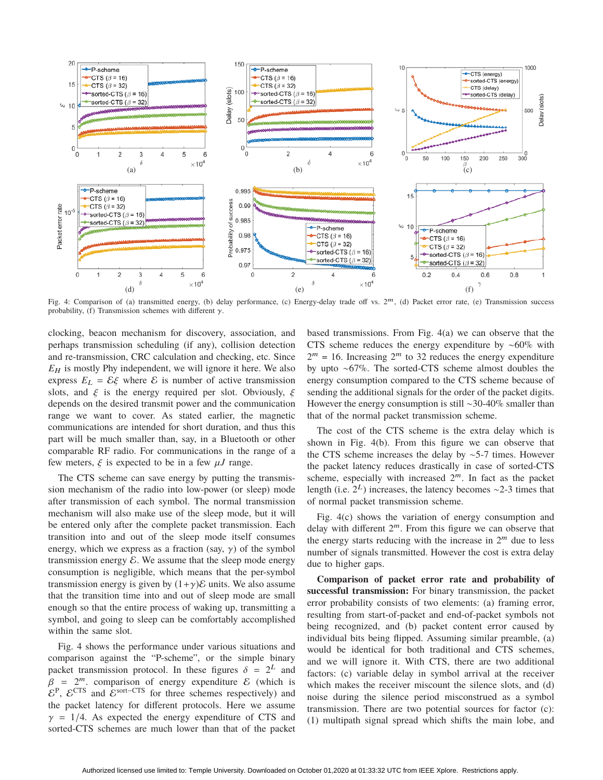

Fig. 4: Comparison of (a) transmitted energy, (b) delay performance, (c) Energy-delay trade off vs.  $2^m$ , (d) Packet error rate, (e) Transmission success probability, (f) Transmission schemes with different  $\gamma$ .

clocking, beacon mechanism for discovery, association, and perhaps transmission scheduling (if any), collision detection and re-transmission, CRC calculation and checking, etc. Since  $E_H$  is mostly Phy independent, we will ignore it here. We also express  $E_L = \mathcal{E}\xi$  where  $\mathcal E$  is number of active transmission slots, and  $\xi$  is the energy required per slot. Obviously,  $\xi$ depends on the desired transmit power and the communication range we want to cover. As stated earlier, the magnetic communications are intended for short duration, and thus this part will be much smaller than, say, in a Bluetooth or other comparable RF radio. For communications in the range of a few meters,  $\xi$  is expected to be in a few  $\mu J$  range.

The CTS scheme can save energy by putting the transmission mechanism of the radio into low-power (or sleep) mode after transmission of each symbol. The normal transmission mechanism will also make use of the sleep mode, but it will be entered only after the complete packet transmission. Each transition into and out of the sleep mode itself consumes energy, which we express as a fraction (say,  $\gamma$ ) of the symbol transmission energy  $\mathcal E$ . We assume that the sleep mode energy consumption is negligible, which means that the per-symbol transmission energy is given by  $(1+\gamma)\mathcal{E}$  units. We also assume that the transition time into and out of sleep mode are small enough so that the entire process of waking up, transmitting a symbol, and going to sleep can be comfortably accomplished within the same slot.

Fig. 4 shows the performance under various situations and comparison against the "P-scheme", or the simple binary packet transmission protocol. In these figures  $\delta = 2^L$  and  $\beta$  = 2<sup>m</sup>. comparison of energy expenditure  $\delta$  (which is  $\mathcal{E}^{\text{P}}$ ,  $\mathcal{E}^{\text{CTS}}$  and  $\mathcal{E}^{\text{sort-CTS}}$  for three schemes respectively) and the packet latency for different protocols. Here we assume  $\gamma$  = 1/4. As expected the energy expenditure of CTS and sorted-CTS schemes are much lower than that of the packet based transmissions. From Fig. 4(a) we can observe that the CTS scheme reduces the energy expenditure by ∼60% with  $2^m = 16$ . Increasing  $2^m$  to 32 reduces the energy expenditure by upto ∼67%. The sorted-CTS scheme almost doubles the energy consumption compared to the CTS scheme because of sending the additional signals for the order of the packet digits. However the energy consumption is still ∼30-40% smaller than that of the normal packet transmission scheme.

The cost of the CTS scheme is the extra delay which is shown in Fig. 4(b). From this figure we can observe that the CTS scheme increases the delay by ∼5-7 times. However the packet latency reduces drastically in case of sorted-CTS scheme, especially with increased  $2<sup>m</sup>$ . In fact as the packet length (i.e.  $2^L$ ) increases, the latency becomes ∼2-3 times that of normal packet transmission scheme.

Fig. 4(c) shows the variation of energy consumption and delay with different  $2^m$ . From this figure we can observe that the energy starts reducing with the increase in  $2<sup>m</sup>$  due to less number of signals transmitted. However the cost is extra delay due to higher gaps.

**Comparison of packet error rate and probability of successful transmission:** For binary transmission, the packet error probability consists of two elements: (a) framing error, resulting from start-of-packet and end-of-packet symbols not being recognized, and (b) packet content error caused by individual bits being flipped. Assuming similar preamble, (a) would be identical for both traditional and CTS schemes, and we will ignore it. With CTS, there are two additional factors: (c) variable delay in symbol arrival at the receiver which makes the receiver miscount the silence slots, and (d) noise during the silence period misconstrued as a symbol transmission. There are two potential sources for factor (c): (1) multipath signal spread which shifts the main lobe, and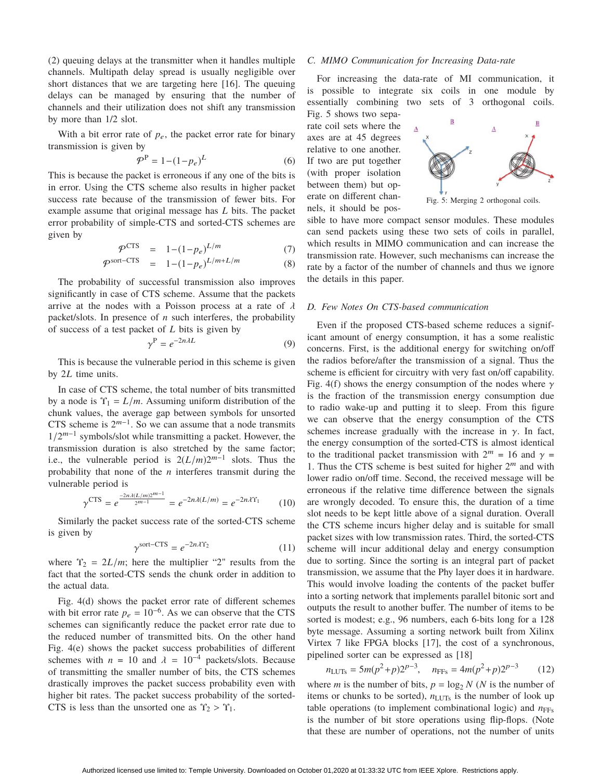(2) queuing delays at the transmitter when it handles multiple channels. Multipath delay spread is usually negligible over short distances that we are targeting here [16]. The queuing delays can be managed by ensuring that the number of channels and their utilization does not shift any transmission by more than 1/2 slot.

With a bit error rate of  $p_e$ , the packet error rate for binary transmission is given by

$$
\mathcal{P}^{\mathcal{P}} = 1 - (1 - p_e)^L \tag{6}
$$

This is because the packet is erroneous if any one of the bits is in error. Using the CTS scheme also results in higher packet success rate because of the transmission of fewer bits. For example assume that original message has *L* bits. The packet error probability of simple-CTS and sorted-CTS schemes are given by

$$
\mathcal{P}^{\text{CTS}} = 1 - (1 - p_e)^{L/m} \tag{7}
$$

$$
\mathcal{P}^{\text{sort}-\text{CTS}} = 1 - (1 - p_e)^{L/m + L/m} \tag{8}
$$

The probability of successful transmission also improves significantly in case of CTS scheme. Assume that the packets arrive at the nodes with a Poisson process at a rate of  $\lambda$ packet/slots. In presence of *n* such interferes, the probability of success of a test packet of *L* bits is given by

$$
\gamma^{\mathcal{P}} = e^{-2n\lambda L} \tag{9}
$$

This is because the vulnerable period in this scheme is given by 2*L* time units.

In case of CTS scheme, the total number of bits transmitted by a node is  $\Upsilon_1 = L/m$ . Assuming uniform distribution of the chunk values, the average gap between symbols for unsorted CTS scheme is  $2^{m-1}$ . So we can assume that a node transmits  $1/2^{m-1}$  symbols/slot while transmitting a packet. However, the transmission duration is also stretched by the same factor; i.e., the vulnerable period is  $2(L/m)2^{m-1}$  slots. Thus the probability that none of the *n* interferes transmit during the vulnerable period is

$$
\gamma^{\text{CTS}} = e^{\frac{-2n\lambda(L/m)2^{m-1}}{2^{m-1}}} = e^{-2n\lambda(L/m)} = e^{-2n\lambda\Upsilon_1}
$$
 (10)

Similarly the packet success rate of the sorted-CTS scheme is given by

$$
\gamma^{\text{sort}-\text{CTS}} = e^{-2n\lambda \Upsilon_2} \tag{11}
$$

where  $\Upsilon_2 = 2L/m$ ; here the multiplier "2" results from the fact that the sorted-CTS sends the chunk order in addition to the actual data.

Fig. 4(d) shows the packet error rate of different schemes with bit error rate  $p_e = 10^{-6}$ . As we can observe that the CTS schemes can significantly reduce the packet error rate due to the reduced number of transmitted bits. On the other hand Fig. 4(e) shows the packet success probabilities of different schemes with  $n = 10$  and  $\lambda = 10^{-4}$  packets/slots. Because of transmitting the smaller number of bits, the CTS schemes drastically improves the packet success probability even with higher bit rates. The packet success probability of the sorted-CTS is less than the unsorted one as  $\Upsilon_2 > \Upsilon_1$ .

#### *C. MIMO Communication for Increasing Data-rate*

For increasing the data-rate of MI communication, it is possible to integrate six coils in one module by essentially combining two sets of 3 orthogonal coils.

Fig. 5 shows two separate coil sets where the axes are at 45 degrees relative to one another. If two are put together (with proper isolation between them) but operate on different channels, it should be pos-



Fig. 5: Merging 2 orthogonal coils.

sible to have more compact sensor modules. These modules can send packets using these two sets of coils in parallel, which results in MIMO communication and can increase the transmission rate. However, such mechanisms can increase the rate by a factor of the number of channels and thus we ignore the details in this paper.

## *D. Few Notes On CTS-based communication*

Even if the proposed CTS-based scheme reduces a significant amount of energy consumption, it has a some realistic concerns. First, is the additional energy for switching on/off the radios before/after the transmission of a signal. Thus the scheme is efficient for circuitry with very fast on/off capability. Fig. 4(f) shows the energy consumption of the nodes where  $\gamma$ is the fraction of the transmission energy consumption due to radio wake-up and putting it to sleep. From this figure we can observe that the energy consumption of the CTS schemes increase gradually with the increase in  $\gamma$ . In fact, the energy consumption of the sorted-CTS is almost identical to the traditional packet transmission with  $2^m = 16$  and  $\gamma =$ 1. Thus the CTS scheme is best suited for higher  $2<sup>m</sup>$  and with lower radio on/off time. Second, the received message will be erroneous if the relative time difference between the signals are wrongly decoded. To ensure this, the duration of a time slot needs to be kept little above of a signal duration. Overall the CTS scheme incurs higher delay and is suitable for small packet sizes with low transmission rates. Third, the sorted-CTS scheme will incur additional delay and energy consumption due to sorting. Since the sorting is an integral part of packet transmission, we assume that the Phy layer does it in hardware. This would involve loading the contents of the packet buffer into a sorting network that implements parallel bitonic sort and outputs the result to another buffer. The number of items to be sorted is modest; e.g., 96 numbers, each 6-bits long for a 128 byte message. Assuming a sorting network built from Xilinx Virtex 7 like FPGA blocks [17], the cost of a synchronous, pipelined sorter can be expressed as [18]

$$
n_{\text{LUTs}} = 5m(p^2 + p)2^{p-3}, \quad n_{\text{FFs}} = 4m(p^2 + p)2^{p-3} \tag{12}
$$

where *m* is the number of bits,  $p = \log_2 N$  (*N* is the number of items or chunks to be sorted),  $n_{\text{LUTs}}$  is the number of look up table operations (to implement combinational logic) and  $n<sub>FFs</sub>$ is the number of bit store operations using flip-flops. (Note that these are number of operations, not the number of units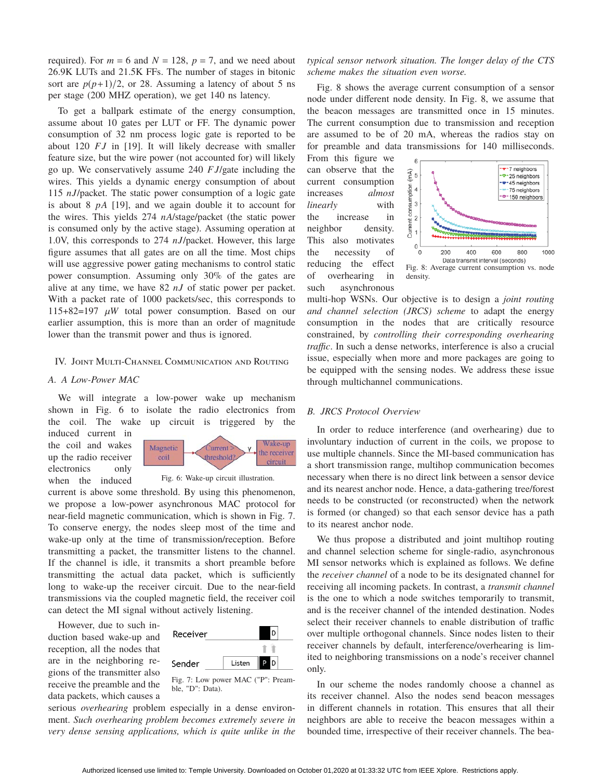required). For  $m = 6$  and  $N = 128$ ,  $p = 7$ , and we need about 26.9K LUTs and 21.5K FFs. The number of stages in bitonic sort are  $p(p+1)/2$ , or 28. Assuming a latency of about 5 ns per stage (200 MHZ operation), we get 140 ns latency.

To get a ballpark estimate of the energy consumption, assume about 10 gates per LUT or FF. The dynamic power consumption of 32 nm process logic gate is reported to be about 120 *FJ* in [19]. It will likely decrease with smaller feature size, but the wire power (not accounted for) will likely go up. We conservatively assume 240 *F J*/gate including the wires. This yields a dynamic energy consumption of about 115 *nJ*/packet. The static power consumption of a logic gate is about 8 *pA* [19], and we again double it to account for the wires. This yields 274 *nA*/stage/packet (the static power is consumed only by the active stage). Assuming operation at 1.0V, this corresponds to 274 *nJ*/packet. However, this large figure assumes that all gates are on all the time. Most chips will use aggressive power gating mechanisms to control static power consumption. Assuming only 30% of the gates are alive at any time, we have 82 *nJ* of static power per packet. With a packet rate of 1000 packets/sec, this corresponds to  $115+82=197$   $\mu$ W total power consumption. Based on our earlier assumption, this is more than an order of magnitude lower than the transmit power and thus is ignored.

## IV. Joint Multi-Channel Communication and Routing

## *A. A Low-Power MAC*

We will integrate a low-power wake up mechanism shown in Fig. 6 to isolate the radio electronics from the coil. The wake up circuit is triggered by the

induced current in the coil and wakes up the radio receiver electronics only when the induced



Fig. 6: Wake-up circuit illustration.

current is above some threshold. By using this phenomenon, we propose a low-power asynchronous MAC protocol for near-field magnetic communication, which is shown in Fig. 7. To conserve energy, the nodes sleep most of the time and wake-up only at the time of transmission/reception. Before transmitting a packet, the transmitter listens to the channel. If the channel is idle, it transmits a short preamble before transmitting the actual data packet, which is sufficiently long to wake-up the receiver circuit. Due to the near-field transmissions via the coupled magnetic field, the receiver coil can detect the MI signal without actively listening.

However, due to such induction based wake-up and reception, all the nodes that are in the neighboring regions of the transmitter also receive the preamble and the data packets, which causes a



Fig. 7: Low power MAC ("P": Preamble, "D": Data).

serious *overhearing* problem especially in a dense environment. *Such overhearing problem becomes extremely severe in very dense sensing applications, which is quite unlike in the* *typical sensor network situation. The longer delay of the CTS scheme makes the situation even worse.*

Fig. 8 shows the average current consumption of a sensor node under different node density. In Fig. 8, we assume that the beacon messages are transmitted once in 15 minutes. The current consumption due to transmission and reception are assumed to be of 20 mA, whereas the radios stay on for preamble and data transmissions for 140 milliseconds.

From this figure we can observe that the current consumption increases *almost linearly* with the increase in neighbor density. This also motivates the necessity of reducing the effect of overhearing in such asynchronous



Fig. 8: Average current consumption vs. node density.

multi-hop WSNs. Our objective is to design a *joint routing and channel selection (JRCS) scheme* to adapt the energy consumption in the nodes that are critically resource constrained, by *controlling their corresponding overhearing traffic*. In such a dense networks, interference is also a crucial issue, especially when more and more packages are going to be equipped with the sensing nodes. We address these issue through multichannel communications.

# *B. JRCS Protocol Overview*

In order to reduce interference (and overhearing) due to involuntary induction of current in the coils, we propose to use multiple channels. Since the MI-based communication has a short transmission range, multihop communication becomes necessary when there is no direct link between a sensor device and its nearest anchor node. Hence, a data-gathering tree/forest needs to be constructed (or reconstructed) when the network is formed (or changed) so that each sensor device has a path to its nearest anchor node.

We thus propose a distributed and joint multihop routing and channel selection scheme for single-radio, asynchronous MI sensor networks which is explained as follows. We define the *receiver channel* of a node to be its designated channel for receiving all incoming packets. In contrast, a *transmit channel* is the one to which a node switches temporarily to transmit, and is the receiver channel of the intended destination. Nodes select their receiver channels to enable distribution of traffic over multiple orthogonal channels. Since nodes listen to their receiver channels by default, interference/overhearing is limited to neighboring transmissions on a node's receiver channel only.

In our scheme the nodes randomly choose a channel as its receiver channel. Also the nodes send beacon messages in different channels in rotation. This ensures that all their neighbors are able to receive the beacon messages within a bounded time, irrespective of their receiver channels. The bea-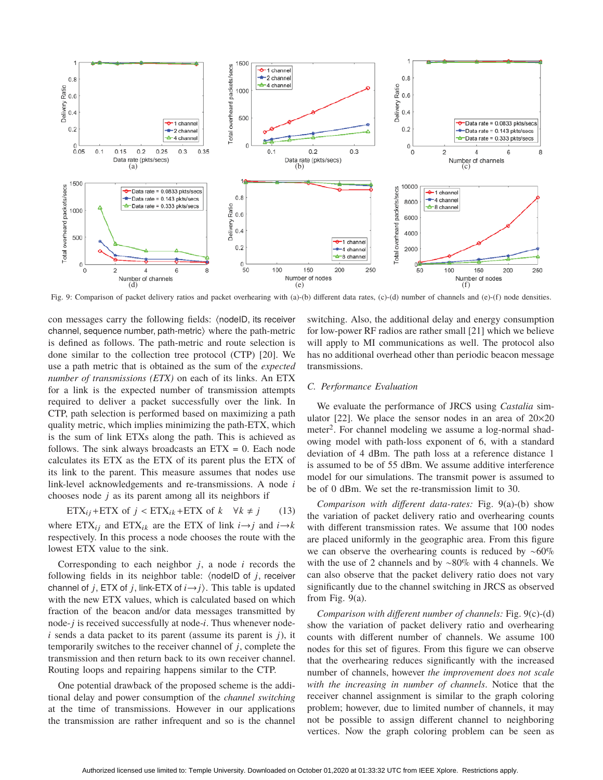

Fig. 9: Comparison of packet delivery ratios and packet overhearing with (a)-(b) different data rates, (c)-(d) number of channels and (e)-(f) node densities.

con messages carry the following fields:  $\langle$  nodeID, its receiver  $channel$ , sequence number, path-metric $\rangle$  where the path-metric is defined as follows. The path-metric and route selection is done similar to the collection tree protocol (CTP) [20]. We use a path metric that is obtained as the sum of the *expected number of transmissions (ETX)* on each of its links. An ETX for a link is the expected number of transmission attempts required to deliver a packet successfully over the link. In CTP, path selection is performed based on maximizing a path quality metric, which implies minimizing the path-ETX, which is the sum of link ETXs along the path. This is achieved as follows. The sink always broadcasts an  $ETX = 0$ . Each node calculates its ETX as the ETX of its parent plus the ETX of its link to the parent. This measure assumes that nodes use link-level acknowledgements and re-transmissions. A node *i* chooses node *j* as its parent among all its neighbors if

$$
ETX_{ij} + ETX \text{ of } j < ETX_{ik} + ETX \text{ of } k \quad \forall k \neq j \tag{13}
$$

where  $ETX_{ij}$  and  $ETX_{ik}$  are the ETX of link  $i \rightarrow j$  and  $i \rightarrow k$ respectively. In this process a node chooses the route with the lowest ETX value to the sink.

Corresponding to each neighbor *j*, a node *i* records the following fields in its neighbor table:  $\langle$  nodeID of *j*, receiver channel of *j*, ETX of *j*, link-ETX of  $i \rightarrow j$ ). This table is updated with the new ETX values, which is calculated based on which fraction of the beacon and/or data messages transmitted by node-*j* is received successfully at node-*i*. Thus whenever node*i* sends a data packet to its parent (assume its parent is *j*), it temporarily switches to the receiver channel of *j*, complete the transmission and then return back to its own receiver channel. Routing loops and repairing happens similar to the CTP.

One potential drawback of the proposed scheme is the additional delay and power consumption of the *channel switching* at the time of transmissions. However in our applications the transmission are rather infrequent and so is the channel switching. Also, the additional delay and energy consumption for low-power RF radios are rather small [21] which we believe will apply to MI communications as well. The protocol also has no additional overhead other than periodic beacon message transmissions.

#### *C. Performance Evaluation*

We evaluate the performance of JRCS using *Castalia* simulator [22]. We place the sensor nodes in an area of  $20\times20$ meter<sup>2</sup>. For channel modeling we assume a log-normal shadowing model with path-loss exponent of 6, with a standard deviation of 4 dBm. The path loss at a reference distance 1 is assumed to be of 55 dBm. We assume additive interference model for our simulations. The transmit power is assumed to be of 0 dBm. We set the re-transmission limit to 30.

*Comparison with different data-rates:* Fig. 9(a)-(b) show the variation of packet delivery ratio and overhearing counts with different transmission rates. We assume that 100 nodes are placed uniformly in the geographic area. From this figure we can observe the overhearing counts is reduced by ∼60% with the use of 2 channels and by ∼80% with 4 channels. We can also observe that the packet delivery ratio does not vary significantly due to the channel switching in JRCS as observed from Fig. 9(a).

*Comparison with different number of channels:* Fig. 9(c)-(d) show the variation of packet delivery ratio and overhearing counts with different number of channels. We assume 100 nodes for this set of figures. From this figure we can observe that the overhearing reduces significantly with the increased number of channels, however *the improvement does not scale with the increasing in number of channels*. Notice that the receiver channel assignment is similar to the graph coloring problem; however, due to limited number of channels, it may not be possible to assign different channel to neighboring vertices. Now the graph coloring problem can be seen as